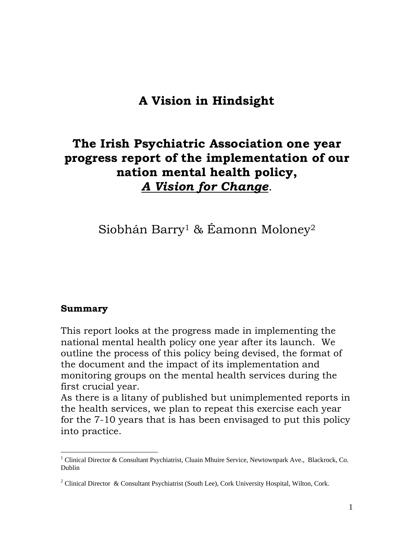# **A Vision in Hindsight**

# **The Irish Psychiatric Association one year progress report of the implementation of our nation mental health policy,**  *A Vision for Change*.

Siobhán Barry1 & Éamonn Moloney2

#### **Summary**

 $\overline{a}$ 

This report looks at the progress made in implementing the national mental health policy one year after its launch. We outline the process of this policy being devised, the format of the document and the impact of its implementation and monitoring groups on the mental health services during the first crucial year.

As there is a litany of published but unimplemented reports in the health services, we plan to repeat this exercise each year for the 7-10 years that is has been envisaged to put this policy into practice.

<sup>&</sup>lt;sup>1</sup> Clinical Director & Consultant Psychiatrist, Cluain Mhuire Service, Newtownpark Ave., Blackrock, Co. Dublin

<sup>&</sup>lt;sup>2</sup> Clinical Director & Consultant Psychiatrist (South Lee), Cork University Hospital, Wilton, Cork.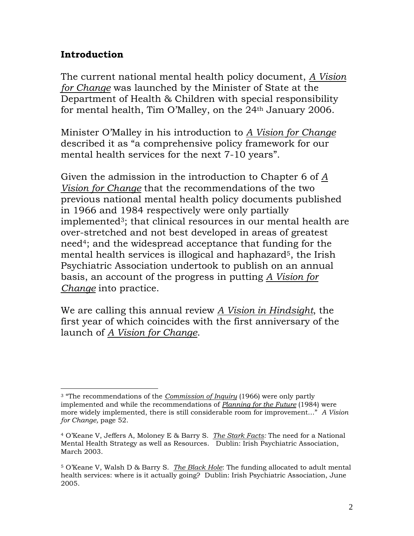# **Introduction**

The current national mental health policy document, *A Vision for Change* was launched by the Minister of State at the Department of Health & Children with special responsibility for mental health, Tim O'Malley, on the 24th January 2006.

Minister O'Malley in his introduction to *A Vision for Change* described it as "a comprehensive policy framework for our mental health services for the next 7-10 years".

Given the admission in the introduction to Chapter 6 of *A Vision for Change* that the recommendations of the two previous national mental health policy documents published in 1966 and 1984 respectively were only partially implemented<sup>3</sup>; that clinical resources in our mental health are over-stretched and not best developed in areas of greatest need4; and the widespread acceptance that funding for the mental health services is illogical and haphazard<sup>5</sup>, the Irish Psychiatric Association undertook to publish on an annual basis, an account of the progress in putting *A Vision for Change* into practice.

We are calling this annual review *A Vision in Hindsight*, the first year of which coincides with the first anniversary of the launch of *A Vision for Change*.

 $\overline{a}$ 3 "The recommendations of the *Commission of Inquiry* (1966) were only partly implemented and while the recommendations of *Planning for the Future* (1984) were more widely implemented, there is still considerable room for improvement…" *A Vision for Change,* page 52.

<sup>4</sup> O'Keane V, Jeffers A, Moloney E & Barry S. *The Stark Facts:* The need for a National Mental Health Strategy as well as Resources. Dublin: Irish Psychiatric Association, March 2003.

<sup>5</sup> O'Keane V, Walsh D & Barry S. *The Black Hole*: The funding allocated to adult mental health services: where is it actually going? Dublin: Irish Psychiatric Association, June 2005.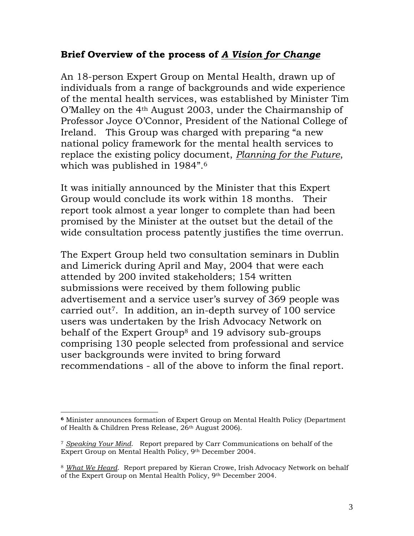# **Brief Overview of the process of** *A Vision for Change*

An 18-person Expert Group on Mental Health, drawn up of individuals from a range of backgrounds and wide experience of the mental health services, was established by Minister Tim O'Malley on the 4th August 2003, under the Chairmanship of Professor Joyce O'Connor, President of the National College of Ireland. This Group was charged with preparing "a new national policy framework for the mental health services to replace the existing policy document, *Planning for the Future*, which was published in 1984".6

It was initially announced by the Minister that this Expert Group would conclude its work within 18 months. Their report took almost a year longer to complete than had been promised by the Minister at the outset but the detail of the wide consultation process patently justifies the time overrun.

The Expert Group held two consultation seminars in Dublin and Limerick during April and May, 2004 that were each attended by 200 invited stakeholders; 154 written submissions were received by them following public advertisement and a service user's survey of 369 people was carried out7. In addition, an in-depth survey of 100 service users was undertaken by the Irish Advocacy Network on behalf of the Expert Group<sup>8</sup> and 19 advisory sub-groups comprising 130 people selected from professional and service user backgrounds were invited to bring forward recommendations - all of the above to inform the final report.

 $\overline{a}$ **<sup>6</sup>** Minister announces formation of Expert Group on Mental Health Policy (Department of Health & Children Press Release, 26<sup>th</sup> August 2006).

<sup>7</sup> *Speaking Your Mind*. Report prepared by Carr Communications on behalf of the Expert Group on Mental Health Policy, 9th December 2004.

<sup>8</sup> *What We Heard*. Report prepared by Kieran Crowe, Irish Advocacy Network on behalf of the Expert Group on Mental Health Policy, 9th December 2004.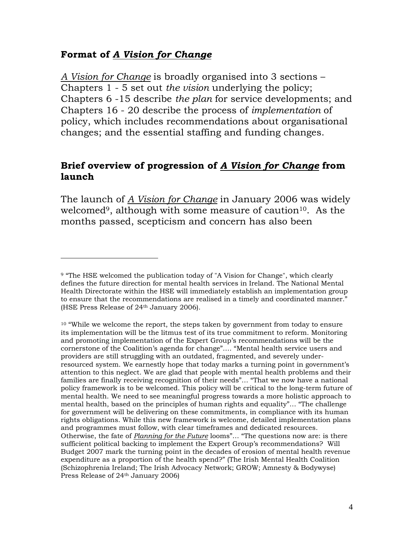### **Format of** *A Vision for Change*

 $\overline{a}$ 

*A Vision for Change* is broadly organised into 3 sections – Chapters 1 - 5 set out *the vision* underlying the policy; Chapters 6 -15 describe *the plan* for service developments; and Chapters 16 - 20 describe the process of *implementation* of policy, which includes recommendations about organisational changes; and the essential staffing and funding changes.

#### **Brief overview of progression of** *A Vision for Change* **from launch**

The launch of *A Vision for Change* in January 2006 was widely welcomed<sup>9</sup>, although with some measure of caution<sup>10</sup>. As the months passed, scepticism and concern has also been

<sup>&</sup>lt;sup>9</sup> "The HSE welcomed the publication today of "A Vision for Change", which clearly defines the future direction for mental health services in Ireland. The National Mental Health Directorate within the HSE will immediately establish an implementation group to ensure that the recommendations are realised in a timely and coordinated manner." (HSE Press Release of 24th January 2006).

<sup>10 &</sup>quot;While we welcome the report, the steps taken by government from today to ensure its implementation will be the litmus test of its true commitment to reform. Monitoring and promoting implementation of the Expert Group's recommendations will be the cornerstone of the Coalition's agenda for change"…. "Mental health service users and providers are still struggling with an outdated, fragmented, and severely underresourced system. We earnestly hope that today marks a turning point in government's attention to this neglect. We are glad that people with mental health problems and their families are finally receiving recognition of their needs"… "That we now have a national policy framework is to be welcomed. This policy will be critical to the long-term future of mental health. We need to see meaningful progress towards a more holistic approach to mental health, based on the principles of human rights and equality"… "The challenge for government will be delivering on these commitments, in compliance with its human rights obligations. While this new framework is welcome, detailed implementation plans and programmes must follow, with clear timeframes and dedicated resources. Otherwise, the fate of *Planning for the Future* looms"… "The questions now are: is there sufficient political backing to implement the Expert Group's recommendations? Will Budget 2007 mark the turning point in the decades of erosion of mental health revenue expenditure as a proportion of the health spend?" (The Irish Mental Health Coalition (Schizophrenia Ireland; The Irish Advocacy Network; GROW; Amnesty & Bodywyse) Press Release of 24<sup>th</sup> January 2006)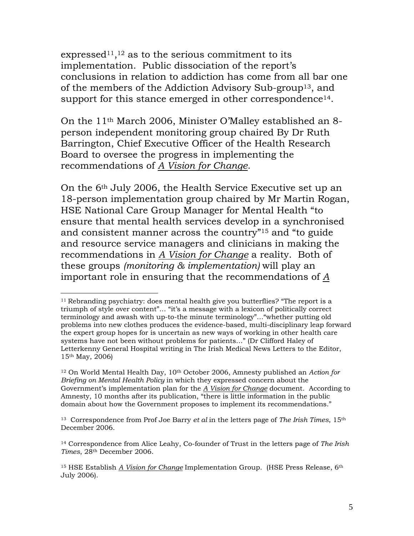expressed<sup>11</sup>,<sup>12</sup> as to the serious commitment to its implementation. Public dissociation of the report's conclusions in relation to addiction has come from all bar one of the members of the Addiction Advisory Sub-group13, and support for this stance emerged in other correspondence<sup>14</sup>.

On the 11th March 2006, Minister O'Malley established an 8 person independent monitoring group chaired By Dr Ruth Barrington, Chief Executive Officer of the Health Research Board to oversee the progress in implementing the recommendations of *A Vision for Change*.

On the 6th July 2006, the Health Service Executive set up an 18-person implementation group chaired by Mr Martin Rogan, HSE National Care Group Manager for Mental Health "to ensure that mental health services develop in a synchronised and consistent manner across the country"15 and "to guide and resource service managers and clinicians in making the recommendations in *A Vision for Change* a reality. Both of these groups *(monitoring & implementation)* will play an important role in ensuring that the recommendations of *A* 

 $\overline{a}$ 

<sup>&</sup>lt;sup>11</sup> Rebranding psychiatry: does mental health give you butterflies? "The report is a triumph of style over content"… "it's a message with a lexicon of politically correct terminology and awash with up-to-the minute terminology"…"whether putting old problems into new clothes produces the evidence-based, multi-disciplinary leap forward the expert group hopes for is uncertain as new ways of working in other health care systems have not been without problems for patients…" (Dr Clifford Haley of Letterkenny General Hospital writing in The Irish Medical News Letters to the Editor, 15th May, 2006)

<sup>12</sup> On World Mental Health Day, 10th October 2006, Amnesty published an *Action for Briefing on Mental Health Policy* in which they expressed concern about the Government's implementation plan for the *A Vision for Change* document. According to Amnesty, 10 months after its publication, "there is little information in the public domain about how the Government proposes to implement its recommendations."

<sup>13</sup> Correspondence from Prof Joe Barry *et al* in the letters page of *The Irish Times*, 15th December 2006.

<sup>14</sup> Correspondence from Alice Leahy, Co-founder of Trust in the letters page of *The Irish Times*, 28th December 2006.

<sup>15</sup> HSE Establish *A Vision for Change* Implementation Group. (HSE Press Release, 6th July 2006).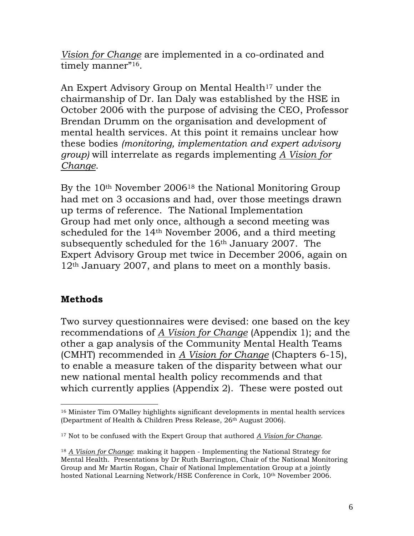*Vision for Change* are implemented in a co-ordinated and timely manner"<sup>16</sup>.

An Expert Advisory Group on Mental Health<sup>17</sup> under the chairmanship of Dr. Ian Daly was established by the HSE in October 2006 with the purpose of advising the CEO, Professor Brendan Drumm on the organisation and development of mental health services. At this point it remains unclear how these bodies *(monitoring, implementation and expert advisory group)* will interrelate as regards implementing *A Vision for Change*.

By the 10th November 200618 the National Monitoring Group had met on 3 occasions and had, over those meetings drawn up terms of reference. The National Implementation Group had met only once, although a second meeting was scheduled for the 14th November 2006, and a third meeting subsequently scheduled for the 16th January 2007. The Expert Advisory Group met twice in December 2006, again on  $12<sup>th</sup>$  January 2007, and plans to meet on a monthly basis.

# **Methods**

 $\overline{a}$ 

Two survey questionnaires were devised: one based on the key recommendations of *A Vision for Change* (Appendix 1); and the other a gap analysis of the Community Mental Health Teams (CMHT) recommended in *A Vision for Change* (Chapters 6-15), to enable a measure taken of the disparity between what our new national mental health policy recommends and that which currently applies (Appendix 2). These were posted out

<sup>16</sup> Minister Tim O'Malley highlights significant developments in mental health services (Department of Health & Children Press Release, 26<sup>th</sup> August 2006).

<sup>17</sup> Not to be confused with the Expert Group that authored *A Vision for Change*.

<sup>18</sup> *A Vision for Change*: making it happen - Implementing the National Strategy for Mental Health.Presentations by Dr Ruth Barrington, Chair of the National Monitoring Group and Mr Martin Rogan, Chair of National Implementation Group at a jointly hosted National Learning Network/HSE Conference in Cork, 10th November 2006.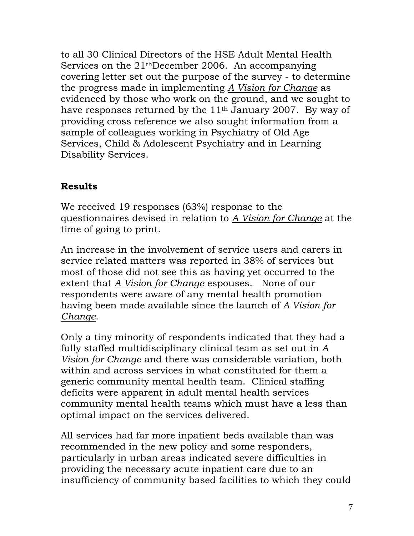to all 30 Clinical Directors of the HSE Adult Mental Health Services on the 21thDecember 2006. An accompanying covering letter set out the purpose of the survey - to determine the progress made in implementing *A Vision for Change* as evidenced by those who work on the ground, and we sought to have responses returned by the 11<sup>th</sup> January 2007. By way of providing cross reference we also sought information from a sample of colleagues working in Psychiatry of Old Age Services, Child & Adolescent Psychiatry and in Learning Disability Services.

### **Results**

We received 19 responses (63%) response to the questionnaires devised in relation to *A Vision for Change* at the time of going to print.

An increase in the involvement of service users and carers in service related matters was reported in 38% of services but most of those did not see this as having yet occurred to the extent that *A Vision for Change* espouses. None of our respondents were aware of any mental health promotion having been made available since the launch of *A Vision for Change*.

Only a tiny minority of respondents indicated that they had a fully staffed multidisciplinary clinical team as set out in *A Vision for Change* and there was considerable variation, both within and across services in what constituted for them a generic community mental health team. Clinical staffing deficits were apparent in adult mental health services community mental health teams which must have a less than optimal impact on the services delivered.

All services had far more inpatient beds available than was recommended in the new policy and some responders, particularly in urban areas indicated severe difficulties in providing the necessary acute inpatient care due to an insufficiency of community based facilities to which they could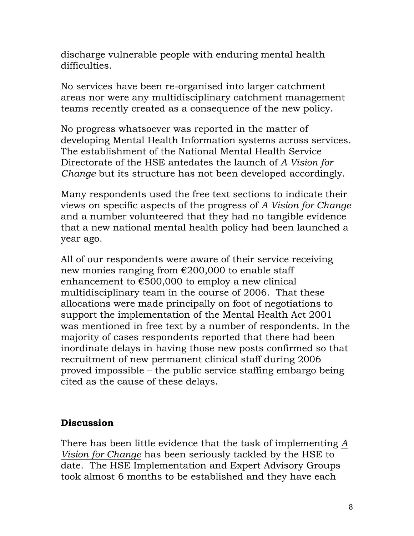discharge vulnerable people with enduring mental health difficulties.

No services have been re-organised into larger catchment areas nor were any multidisciplinary catchment management teams recently created as a consequence of the new policy.

No progress whatsoever was reported in the matter of developing Mental Health Information systems across services. The establishment of the National Mental Health Service Directorate of the HSE antedates the launch of *A Vision for Change* but its structure has not been developed accordingly.

Many respondents used the free text sections to indicate their views on specific aspects of the progress of *A Vision for Change* and a number volunteered that they had no tangible evidence that a new national mental health policy had been launched a year ago.

All of our respondents were aware of their service receiving new monies ranging from €200,000 to enable staff enhancement to  $\epsilon$ 500,000 to employ a new clinical multidisciplinary team in the course of 2006. That these allocations were made principally on foot of negotiations to support the implementation of the Mental Health Act 2001 was mentioned in free text by a number of respondents. In the majority of cases respondents reported that there had been inordinate delays in having those new posts confirmed so that recruitment of new permanent clinical staff during 2006 proved impossible – the public service staffing embargo being cited as the cause of these delays.

# **Discussion**

There has been little evidence that the task of implementing *A Vision for Change* has been seriously tackled by the HSE to date. The HSE Implementation and Expert Advisory Groups took almost 6 months to be established and they have each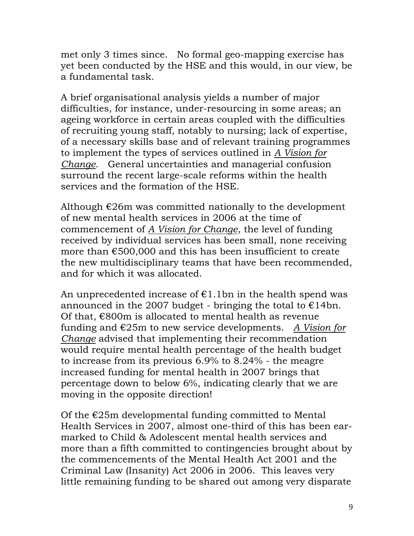met only 3 times since. No formal geo-mapping exercise has yet been conducted by the HSE and this would, in our view, be a fundamental task.

A brief organisational analysis yields a number of major difficulties, for instance, under-resourcing in some areas; an ageing workforce in certain areas coupled with the difficulties of recruiting young staff, notably to nursing; lack of expertise, of a necessary skills base and of relevant training programmes to implement the types of services outlined in *A Vision for Change*. General uncertainties and managerial confusion surround the recent large-scale reforms within the health services and the formation of the HSE.

Although  $E26m$  was committed nationally to the development of new mental health services in 2006 at the time of commencement of *A Vision for Change*, the level of funding received by individual services has been small, none receiving more than €500,000 and this has been insufficient to create the new multidisciplinary teams that have been recommended, and for which it was allocated.

An unprecedented increase of  $E1.1$ bn in the health spend was announced in the 2007 budget - bringing the total to  $\epsilon$ 14bn. Of that,  $\epsilon$ 800m is allocated to mental health as revenue funding and €25m to new service developments. *A Vision for Change* advised that implementing their recommendation would require mental health percentage of the health budget to increase from its previous 6.9% to 8.24% - the meagre increased funding for mental health in 2007 brings that percentage down to below 6%, indicating clearly that we are moving in the opposite direction!

Of the  $E25m$  developmental funding committed to Mental Health Services in 2007, almost one-third of this has been earmarked to Child & Adolescent mental health services and more than a fifth committed to contingencies brought about by the commencements of the Mental Health Act 2001 and the Criminal Law (Insanity) Act 2006 in 2006. This leaves very little remaining funding to be shared out among very disparate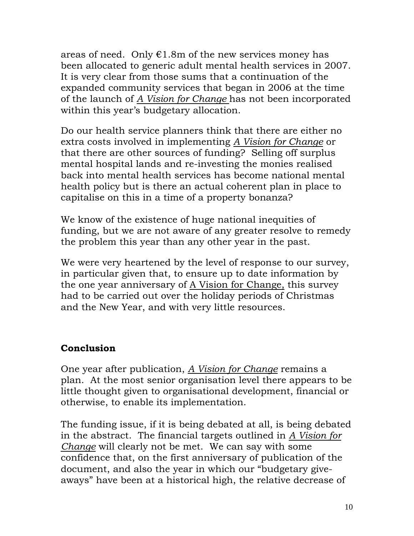areas of need. Only  $E1.8m$  of the new services money has been allocated to generic adult mental health services in 2007. It is very clear from those sums that a continuation of the expanded community services that began in 2006 at the time of the launch of *A Vision for Change* has not been incorporated within this year's budgetary allocation.

Do our health service planners think that there are either no extra costs involved in implementing *A Vision for Change* or that there are other sources of funding? Selling off surplus mental hospital lands and re-investing the monies realised back into mental health services has become national mental health policy but is there an actual coherent plan in place to capitalise on this in a time of a property bonanza?

We know of the existence of huge national inequities of funding, but we are not aware of any greater resolve to remedy the problem this year than any other year in the past.

We were very heartened by the level of response to our survey, in particular given that, to ensure up to date information by the one year anniversary of A Vision for Change, this survey had to be carried out over the holiday periods of Christmas and the New Year, and with very little resources.

# **Conclusion**

One year after publication, *A Vision for Change* remains a plan. At the most senior organisation level there appears to be little thought given to organisational development, financial or otherwise, to enable its implementation.

The funding issue, if it is being debated at all, is being debated in the abstract. The financial targets outlined in *A Vision for Change* will clearly not be met. We can say with some confidence that, on the first anniversary of publication of the document, and also the year in which our "budgetary giveaways" have been at a historical high, the relative decrease of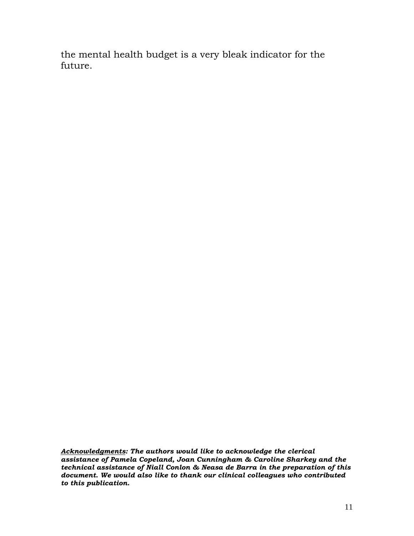the mental health budget is a very bleak indicator for the future.

*Acknowledgments: The authors would like to acknowledge the clerical assistance of Pamela Copeland, Joan Cunningham & Caroline Sharkey and the technical assistance of Niall Conlon & Neasa de Barra in the preparation of this document. We would also like to thank our clinical colleagues who contributed to this publication.*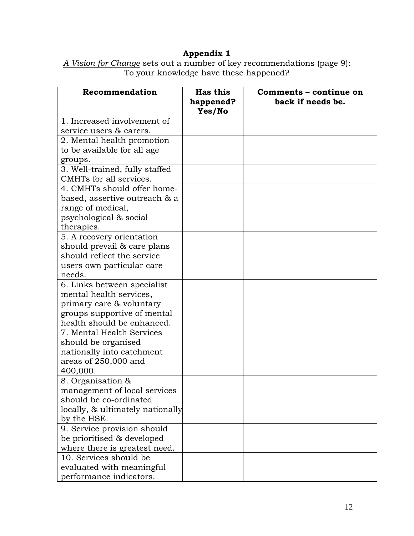#### **Appendix 1**

| Recommendation                                          | <b>Has this</b><br>happened?<br>Yes/No | Comments - continue on<br>back if needs be. |
|---------------------------------------------------------|----------------------------------------|---------------------------------------------|
| 1. Increased involvement of                             |                                        |                                             |
| service users & carers.                                 |                                        |                                             |
| 2. Mental health promotion                              |                                        |                                             |
| to be available for all age                             |                                        |                                             |
| groups.                                                 |                                        |                                             |
| 3. Well-trained, fully staffed                          |                                        |                                             |
| CMHTs for all services.                                 |                                        |                                             |
| 4. CMHTs should offer home-                             |                                        |                                             |
| based, assertive outreach & a                           |                                        |                                             |
| range of medical,                                       |                                        |                                             |
| psychological & social                                  |                                        |                                             |
| therapies.                                              |                                        |                                             |
| 5. A recovery orientation                               |                                        |                                             |
| should prevail & care plans                             |                                        |                                             |
| should reflect the service                              |                                        |                                             |
| users own particular care                               |                                        |                                             |
| needs.                                                  |                                        |                                             |
| 6. Links between specialist                             |                                        |                                             |
| mental health services,                                 |                                        |                                             |
| primary care & voluntary                                |                                        |                                             |
| groups supportive of mental                             |                                        |                                             |
| health should be enhanced.                              |                                        |                                             |
| 7. Mental Health Services                               |                                        |                                             |
| should be organised                                     |                                        |                                             |
| nationally into catchment                               |                                        |                                             |
| areas of 250,000 and                                    |                                        |                                             |
| 400,000.                                                |                                        |                                             |
| 8. Organisation &                                       |                                        |                                             |
| management of local services                            |                                        |                                             |
| should be co-ordinated                                  |                                        |                                             |
| locally, & ultimately nationally                        |                                        |                                             |
| by the HSE.                                             |                                        |                                             |
| 9. Service provision should                             |                                        |                                             |
| be prioritised & developed                              |                                        |                                             |
| where there is greatest need.<br>10. Services should be |                                        |                                             |
| evaluated with meaningful                               |                                        |                                             |
| performance indicators.                                 |                                        |                                             |

*A Vision for Change* sets out a number of key recommendations (page 9): To your knowledge have these happened?